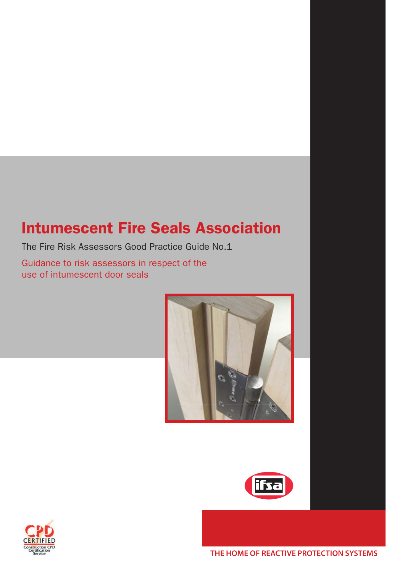## Intumescent Fire Seals Association

The Fire Risk Assessors Good Practice Guide No.1

Guidance to risk assessors in respect of the use of intumescent door seals





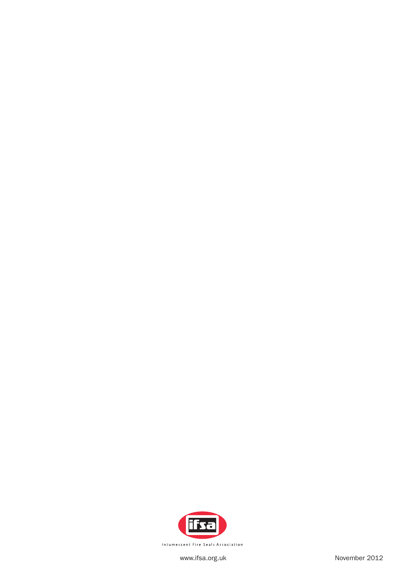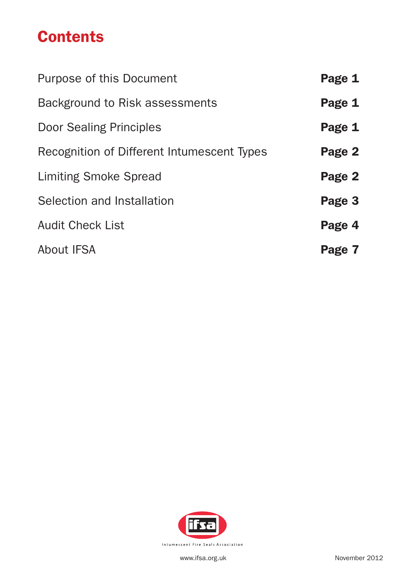## **Contents**

| Purpose of this Document                   | Page 1 |
|--------------------------------------------|--------|
| Background to Risk assessments             | Page 1 |
| <b>Door Sealing Principles</b>             | Page 1 |
| Recognition of Different Intumescent Types | Page 2 |
| <b>Limiting Smoke Spread</b>               | Page 2 |
| Selection and Installation                 | Page 3 |
| <b>Audit Check List</b>                    | Page 4 |
| <b>About IFSA</b>                          | Page 7 |

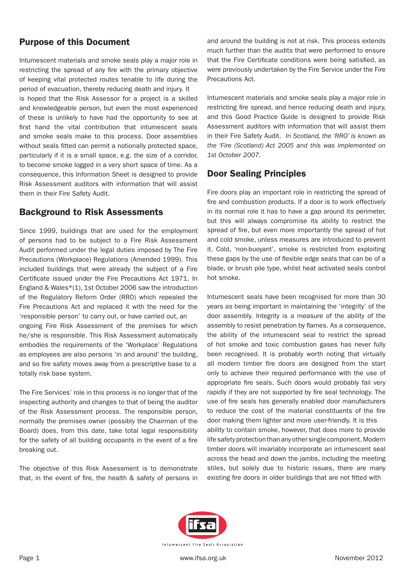## Purpose of this Document

Intumescent materials and smoke seals play a major role in restricting the spread of any fire with the primary objective of keeping vital protected routes tenable to life during the period of evacuation, thereby reducing death and injury. It is hoped that the Risk Assessor for a project is a skilled and knowledgeable person, but even the most experienced of these is unlikely to have had the opportunity to see at first hand the vital contribution that intumescent seals and smoke seals make to this process. Door assemblies without seals fitted can permit a notionally protected space, particularly if it is a small space, e.g. the size of a corridor, to become smoke logged in a very short space of time. As a consequence, this Information Sheet is designed to provide Risk Assessment auditors with information that will assist them in their Fire Safety Audit.

## Background to Risk Assessments

Since 1999, buildings that are used for the employment of persons had to be subject to a Fire Risk Assessment Audit performed under the legal duties imposed by The Fire Precautions (Workplace) Regulations (Amended 1999). This included buildings that were already the subject of a Fire Certificate issued under the Fire Precautions Act 1971. In England & Wales\*(1), 1st October 2006 saw the introduction of the Regulatory Reform Order (RRO) which repealed the Fire Precautions Act and replaced it with the need for the 'responsible person' to carry out, or have carried out, an ongoing Fire Risk Assessment of the premises for which he/she is responsible. This Risk Assessment automatically embodies the requirements of the 'Workplace' Regulations as employees are also persons 'in and around' the building, and so fire safety moves away from a prescriptive base to a totally risk base system.

The Fire Services' role in this process is no longer that of the inspecting authority and changes to that of being the auditor of the Risk Assessment process. The responsible person, normally the premises owner (possibly the Chairman of the Board) does, from this date, take total legal responsibility for the safety of all building occupants in the event of a fire breaking out.

The objective of this Risk Assessment is to demonstrate that, in the event of fire, the health & safety of persons in and around the building is not at risk. This process extends much further than the audits that were performed to ensure that the Fire Certificate conditions were being satisfied, as were previously undertaken by the Fire Service under the Fire Precautions Act.

Intumescent materials and smoke seals play a major role in restricting fire spread, and hence reducing death and injury, and this Good Practice Guide is designed to provide Risk Assessment auditors with information that will assist them in their Fire Safety Audit. *In Scotland, the 'RRO' is known as the 'Fire (Scotland) Act 2005 and this was implemented on 1st October 2007.* 

## Door Sealing Principles

Fire doors play an important role in restricting the spread of fire and combustion products. If a door is to work effectively in its normal role it has to have a gap around its perimeter, but this will always compromise its ability to restrict the spread of fire, but even more importantly the spread of hot and cold smoke, unless measures are introduced to prevent it. Cold, 'non-buoyant', smoke is restricted from exploiting these gaps by the use of flexible edge seals that can be of a blade, or brush pile type, whilst heat activated seals control hot smoke.

Intumescent seals have been recognised for more than 30 years as being important in maintaining the 'integrity' of the door assembly. Integrity is a measure of the ability of the assembly to resist penetration by flames. As a consequence, the ability of the intumescent seal to restrict the spread of hot smoke and toxic combustion gases has never fully been recognised. It is probably worth noting that virtually all modern timber fire doors are designed from the start only to achieve their required performance with the use of appropriate fire seals. Such doors would probably fail very rapidly if they are not supported by fire seal technology. The use of fire seals has generally enabled door manufacturers to reduce the cost of the material constituents of the fire door making them lighter and more user-friendly. It is this ability to contain smoke, however, that does more to provide life safety protection than any other single component. Modern timber doors will invariably incorporate an intumescent seal across the head and down the jambs, including the meeting stiles, but solely due to historic issues, there are many existing fire doors in older buildings that are not fitted with

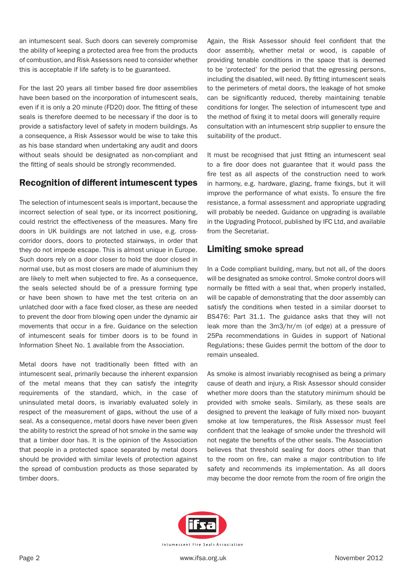an intumescent seal. Such doors can severely compromise the ability of keeping a protected area free from the products of combustion, and Risk Assessors need to consider whether this is acceptable if life safety is to be guaranteed.

For the last 20 years all timber based fire door assemblies have been based on the incorporation of intumescent seals, even if it is only a 20 minute (FD20) door. The fitting of these seals is therefore deemed to be necessary if the door is to provide a satisfactory level of safety in modern buildings. As a consequence, a Risk Assessor would be wise to take this as his base standard when undertaking any audit and doors without seals should be designated as non-compliant and the fitting of seals should be strongly recommended.

## Recognition of different intumescent types

The selection of intumescent seals is important, because the incorrect selection of seal type, or its incorrect positioning, could restrict the effectiveness of the measures. Many fire doors in UK buildings are not latched in use, e.g. crosscorridor doors, doors to protected stairways, in order that they do not impede escape. This is almost unique in Europe. Such doors rely on a door closer to hold the door closed in normal use, but as most closers are made of aluminium they are likely to melt when subjected to fire. As a consequence, the seals selected should be of a pressure forming type or have been shown to have met the test criteria on an unlatched door with a face fixed closer, as these are needed to prevent the door from blowing open under the dynamic air movements that occur in a fire. Guidance on the selection of intumescent seals for timber doors is to be found in Information Sheet No. 1 available from the Association.

Metal doors have not traditionally been fitted with an intumescent seal, primarily because the inherent expansion of the metal means that they can satisfy the integrity requirements of the standard, which, in the case of uninsulated metal doors, is invariably evaluated solely in respect of the measurement of gaps, without the use of a seal. As a consequence, metal doors have never been given the ability to restrict the spread of hot smoke in the same way that a timber door has. It is the opinion of the Association that people in a protected space separated by metal doors should be provided with similar levels of protection against the spread of combustion products as those separated by timber doors.

Again, the Risk Assessor should feel confident that the door assembly, whether metal or wood, is capable of providing tenable conditions in the space that is deemed to be 'protected' for the period that the egressing persons, including the disabled, will need. By fitting intumescent seals to the perimeters of metal doors, the leakage of hot smoke can be significantly reduced, thereby maintaining tenable conditions for longer. The selection of intumescent type and the method of fixing it to metal doors will generally require consultation with an intumescent strip supplier to ensure the suitability of the product.

It must be recognised that just fitting an intumescent seal to a fire door does not guarantee that it would pass the fire test as all aspects of the construction need to work in harmony, e.g. hardware, glazing, frame fixings, but it will improve the performance of what exists. To ensure the fire resistance, a formal assessment and appropriate upgrading will probably be needed. Guidance on upgrading is available in the Upgrading Protocol, published by IFC Ltd, and available from the Secretariat.

## Limiting smoke spread

In a Code compliant building, many, but not all, of the doors will be designated as smoke control. Smoke control doors will normally be fitted with a seal that, when properly installed, will be capable of demonstrating that the door assembly can satisfy the conditions when tested in a similar doorset to BS476: Part 31.1. The guidance asks that they will not leak more than the 3m3/hr/m (of edge) at a pressure of 25Pa recommendations in Guides in support of National Regulations; these Guides permit the bottom of the door to remain unsealed.

As smoke is almost invariably recognised as being a primary cause of death and injury, a Risk Assessor should consider whether more doors than the statutory minimum should be provided with smoke seals. Similarly, as these seals are designed to prevent the leakage of fully mixed non- buoyant smoke at low temperatures, the Risk Assessor must feel confident that the leakage of smoke under the threshold will not negate the benefits of the other seals. The Association believes that threshold sealing for doors other than that to the room on fire, can make a major contribution to life safety and recommends its implementation. As all doors may become the door remote from the room of fire origin the

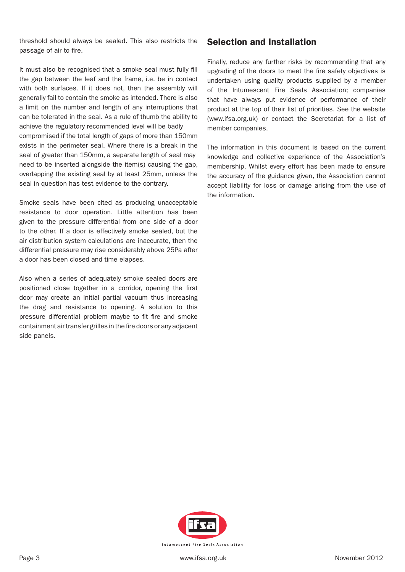threshold should always be sealed. This also restricts the passage of air to fire.

It must also be recognised that a smoke seal must fully fill the gap between the leaf and the frame, i.e. be in contact with both surfaces. If it does not, then the assembly will generally fail to contain the smoke as intended. There is also a limit on the number and length of any interruptions that can be tolerated in the seal. As a rule of thumb the ability to achieve the regulatory recommended level will be badly compromised if the total length of gaps of more than 150mm exists in the perimeter seal. Where there is a break in the seal of greater than 150mm, a separate length of seal may need to be inserted alongside the item(s) causing the gap, overlapping the existing seal by at least 25mm, unless the seal in question has test evidence to the contrary.

Smoke seals have been cited as producing unacceptable resistance to door operation. Little attention has been given to the pressure differential from one side of a door to the other. If a door is effectively smoke sealed, but the air distribution system calculations are inaccurate, then the differential pressure may rise considerably above 25Pa after a door has been closed and time elapses.

Also when a series of adequately smoke sealed doors are positioned close together in a corridor, opening the first door may create an initial partial vacuum thus increasing the drag and resistance to opening. A solution to this pressure differential problem maybe to fit fire and smoke containment air transfer grilles in the fire doors or any adjacent side panels.

### Selection and Installation

Finally, reduce any further risks by recommending that any upgrading of the doors to meet the fire safety objectives is undertaken using quality products supplied by a member of the Intumescent Fire Seals Association; companies that have always put evidence of performance of their product at the top of their list of priorities. See the website (www.ifsa.org.uk) or contact the Secretariat for a list of member companies.

The information in this document is based on the current knowledge and collective experience of the Association's membership. Whilst every effort has been made to ensure the accuracy of the guidance given, the Association cannot accept liability for loss or damage arising from the use of the information.

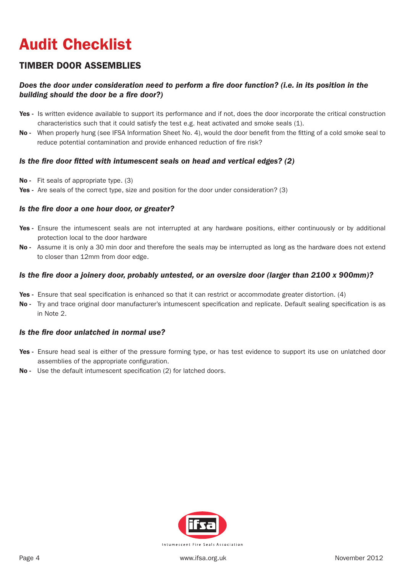# Audit Checklist

## TIMBER DOOR ASSEMBLIES

### *Does the door under consideration need to perform a fire door function? (i.e. in its position in the building should the door be a fire door?)*

- Yes Is written evidence available to support its performance and if not, does the door incorporate the critical construction characteristics such that it could satisfy the test e.g. heat activated and smoke seals (1).
- No When properly hung (see IFSA Information Sheet No. 4), would the door benefit from the fitting of a cold smoke seal to reduce potential contamination and provide enhanced reduction of fire risk?

#### *Is the fire door fitted with intumescent seals on head and vertical edges? (2)*

- No Fit seals of appropriate type. (3)
- Yes Are seals of the correct type, size and position for the door under consideration? (3)

#### *Is the fire door a one hour door, or greater?*

- Yes Ensure the intumescent seals are not interrupted at any hardware positions, either continuously or by additional protection local to the door hardware
- No Assume it is only a 30 min door and therefore the seals may be interrupted as long as the hardware does not extend to closer than 12mm from door edge.

#### *Is the fire door a joinery door, probably untested, or an oversize door (larger than 2100 x 900mm)?*

- Yes Ensure that seal specification is enhanced so that it can restrict or accommodate greater distortion. (4)
- No Try and trace original door manufacturer's intumescent specification and replicate. Default sealing specification is as in Note 2.

#### *Is the fire door unlatched in normal use?*

- Yes Ensure head seal is either of the pressure forming type, or has test evidence to support its use on unlatched door assemblies of the appropriate configuration.
- No Use the default intumescent specification (2) for latched doors.

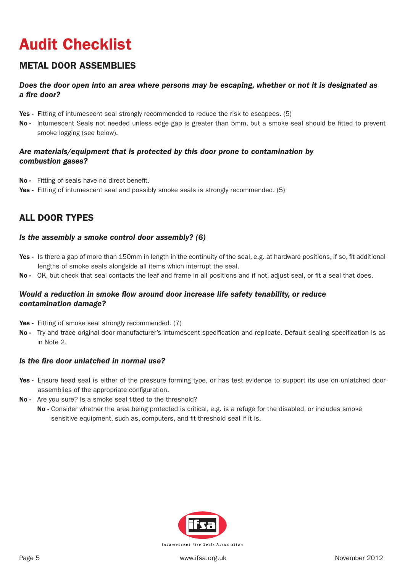# Audit Checklist

## METAL DOOR ASSEMBLIES

### *Does the door open into an area where persons may be escaping, whether or not it is designated as a fire door?*

- Yes Fitting of intumescent seal strongly recommended to reduce the risk to escapees. (5)
- No Intumescent Seals not needed unless edge gap is greater than 5mm, but a smoke seal should be fitted to prevent smoke logging (see below).

### *Are materials/equipment that is protected by this door prone to contamination by combustion gases?*

- No Fitting of seals have no direct benefit.
- Yes Fitting of intumescent seal and possibly smoke seals is strongly recommended. (5)

## ALL DOOR TYPES

#### *Is the assembly a smoke control door assembly? (6)*

- Yes Is there a gap of more than 150mm in length in the continuity of the seal, e.g. at hardware positions, if so, fit additional lengths of smoke seals alongside all items which interrupt the seal.
- No OK, but check that seal contacts the leaf and frame in all positions and if not, adjust seal, or fit a seal that does.

#### *Would a reduction in smoke flow around door increase life safety tenability, or reduce contamination damage?*

- Yes Fitting of smoke seal strongly recommended. (7)
- No Try and trace original door manufacturer's intumescent specification and replicate. Default sealing specification is as in Note 2.

#### *Is the fire door unlatched in normal use?*

- Yes Ensure head seal is either of the pressure forming type, or has test evidence to support its use on unlatched door assemblies of the appropriate configuration.
- No Are you sure? Is a smoke seal fitted to the threshold?
	- No Consider whether the area being protected is critical, e.g. is a refuge for the disabled, or includes smoke sensitive equipment, such as, computers, and fit threshold seal if it is.

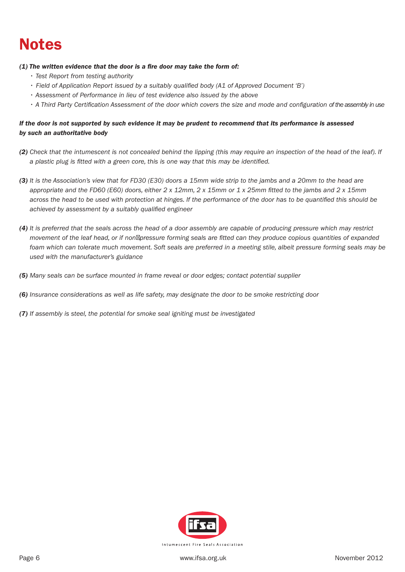## Notes

#### *(1) The written evidence that the door is a fire door may take the form of:*

- *Test Report from testing authority*
- *Field of Application Report issued by a suitably qualified body (A1 of Approved Document 'B')*
- *Assessment of Performance in lieu of test evidence also issued by the above*
- *A Third Party Certification Assessment of the door which covers the size and mode and configuration of the assembly in use*

#### *If the door is not supported by such evidence it may be prudent to recommend that its performance is assessed by such an authoritative body*

- *(2) Check that the intumescent is not concealed behind the lipping (this may require an inspection of the head of the leaf). If a plastic plug is fitted with a green core, this is one way that this may be identified.*
- *(3) It is the Association's view that for FD30 (E30) doors a 15mm wide strip to the jambs and a 20mm to the head are appropriate and the FD60 (E60) doors, either 2 x 12mm, 2 x 15mm or 1 x 25mm fitted to the jambs and 2 x 15mm across the head to be used with protection at hinges. If the performance of the door has to be quantified this should be achieved by assessment by a suitably qualified engineer*
- *(4) It is preferred that the seals across the head of a door assembly are capable of producing pressure which may restrict movement of the leaf head, or if non pressure forming seals are fitted can they produce copious quantities of expanded foam which can tolerate much movement. Soft seals are preferred in a meeting stile, albeit pressure forming seals may be used with the manufacturer's guidance*
- *(5) Many seals can be surface mounted in frame reveal or door edges; contact potential supplier*
- *(6) Insurance considerations as well as life safety, may designate the door to be smoke restricting door*
- *(7) If assembly is steel, the potential for smoke seal igniting must be investigated*

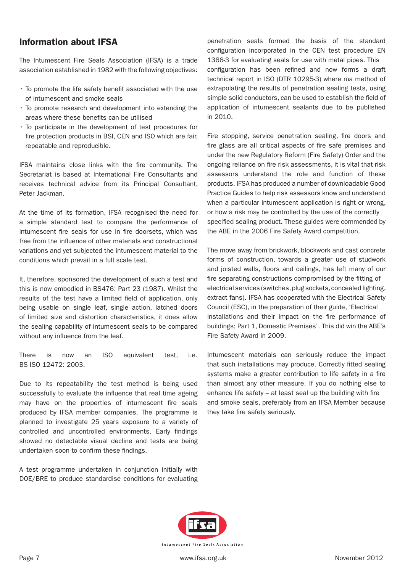## Information about IFSA

The Intumescent Fire Seals Association (IFSA) is a trade association established in 1982 with the following objectives:

- To promote the life safety benefit associated with the use of intumescent and smoke seals
- To promote research and development into extending the areas where these benefits can be utilised
- To participate in the development of test procedures for fire protection products in BSI, CEN and ISO which are fair, repeatable and reproducible.

IFSA maintains close links with the fire community. The Secretariat is based at International Fire Consultants and receives technical advice from its Principal Consultant, Peter Jackman.

At the time of its formation, IFSA recognised the need for a simple standard test to compare the performance of intumescent fire seals for use in fire doorsets, which was free from the influence of other materials and constructional variations and yet subjected the intumescent material to the conditions which prevail in a full scale test.

It, therefore, sponsored the development of such a test and this is now embodied in BS476: Part 23 (1987). Whilst the results of the test have a limited field of application, only being usable on single leaf, single action, latched doors of limited size and distortion characteristics, it does allow the sealing capability of intumescent seals to be compared without any influence from the leaf.

There is now an ISO equivalent test, i.e. BS ISO 12472: 2003.

Due to its repeatability the test method is being used successfully to evaluate the influence that real time ageing may have on the properties of intumescent fire seals produced by IFSA member companies. The programme is planned to investigate 25 years exposure to a variety of controlled and uncontrolled environments. Early findings showed no detectable visual decline and tests are being undertaken soon to confirm these findings.

A test programme undertaken in conjunction initially with DOE/BRE to produce standardise conditions for evaluating

penetration seals formed the basis of the standard configuration incorporated in the CEN test procedure EN 1366-3 for evaluating seals for use with metal pipes. This configuration has been refined and now forms a draft technical report in ISO (DTR 10295-3) where ma method of extrapolating the results of penetration sealing tests, using simple solid conductors, can be used to establish the field of application of intumescent sealants due to be published in 2010.

Fire stopping, service penetration sealing, fire doors and fire glass are all critical aspects of fire safe premises and under the new Regulatory Reform (Fire Safety) Order and the ongoing reliance on fire risk assessments, it is vital that risk assessors understand the role and function of these products. IFSA has produced a number of downloadable Good Practice Guides to help risk assessors know and understand when a particular intumescent application is right or wrong, or how a risk may be controlled by the use of the correctly specified sealing product. These guides were commended by the ABE in the 2006 Fire Safety Award competition.

The move away from brickwork, blockwork and cast concrete forms of construction, towards a greater use of studwork and joisted walls, floors and ceilings, has left many of our fire separating constructions compromised by the fitting of electrical services (switches, plug sockets, concealed lighting, extract fans). IFSA has cooperated with the Electrical Safety Council (ESC), in the preparation of their guide, 'Electrical installations and their impact on the fire performance of buildings; Part 1, Domestic Premises'. This did win the ABE's Fire Safety Award in 2009.

Intumescent materials can seriously reduce the impact that such installations may produce. Correctly fitted sealing systems make a greater contribution to life safety in a fire than almost any other measure. If you do nothing else to enhance life safety – at least seal up the building with fire and smoke seals, preferably from an IFSA Member because they take fire safety seriously.

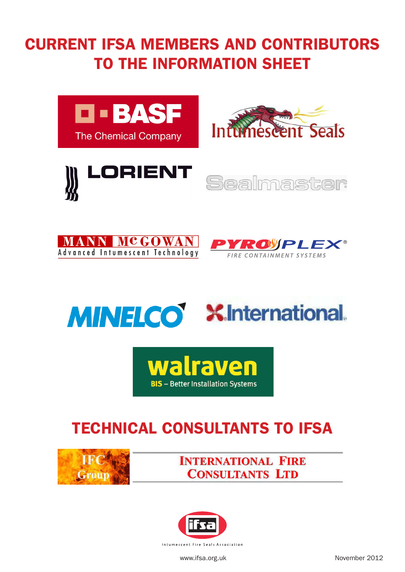# CURRENT IFSA MEMBERS AND CONTRIBUTORS TO THE INFORMATION SHEET















## Technical Consultants to IFSA



**INTERNATIONAL FIRE CONSULTANTS LTD**